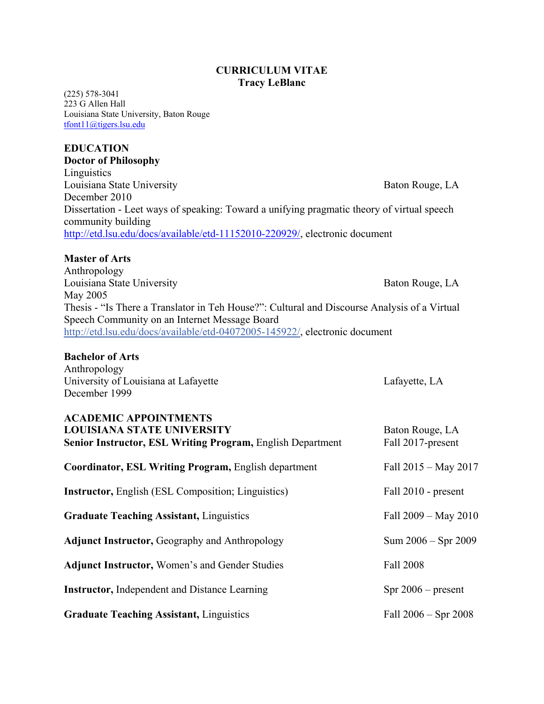# **CURRICULUM VITAE Tracy LeBlanc**

(225) 578-3041 223 G Allen Hall Louisiana State University, Baton Rouge [tfont11@tigers.lsu.edu](mailto:tfont11@tigers.lsu.edu)

# **EDUCATION**

**Doctor of Philosophy Linguistics** Louisiana State University **Baton Rouge, LA** December 2010 Dissertation - Leet ways of speaking: Toward a unifying pragmatic theory of virtual speech community building [http://etd.lsu.edu/docs/available/etd-11152010-220929/,](http://etd.lsu.edu/docs/available/etd-11152010-220929/) electronic document

## **Master of Arts**

Anthropology Louisiana State University **Baton Rouge, LA** May 2005 Thesis - "Is There a Translator in Teh House?": Cultural and Discourse Analysis of a Virtual Speech Community on an Internet Message Board [http://etd.lsu.edu/docs/available/etd-04072005-145922/,](http://etd.lsu.edu/docs/available/etd-04072005-145922/) electronic document

#### **Bachelor of Arts**

Anthropology University of Louisiana at Lafayette Late and Lafayette, LA December 1999

**ACADEMIC APPOINTMENTS LOUISIANA STATE UNIVERSITY** Baton Rouge, LA **Senior Instructor, ESL Writing Program, English Department Fall 2017-present Coordinator, ESL Writing Program, English department Fall 2015 – May 2017 Instructor, English (ESL Composition; Linguistics)** Fall 2010 - present Graduate Teaching Assistant, Linguistics Fall 2009 – May 2010 Adjunct Instructor, Geography and Anthropology Sum 2006 – Spr 2009 Adjunct Instructor, Women's and Gender Studies Fall 2008 **Instructor,** Independent and Distance Learning Spr 2006 – present Graduate Teaching Assistant, Linguistics Fall 2006 – Spr 2008